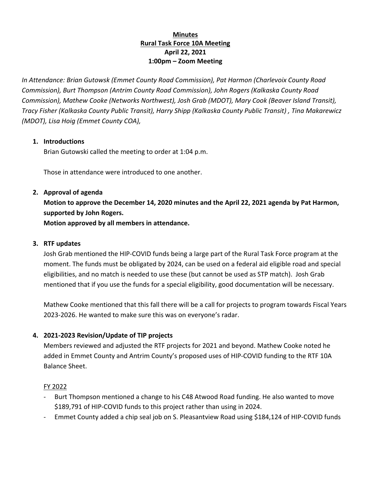# **Minutes Rural Task Force 10A Meeting April 22, 2021 1:00pm – Zoom Meeting**

*In Attendance: Brian Gutowsk (Emmet County Road Commission), Pat Harmon (Charlevoix County Road Commission), Burt Thompson (Antrim County Road Commission), John Rogers (Kalkaska County Road Commission), Mathew Cooke (Networks Northwest), Josh Grab (MDOT), Mary Cook (Beaver Island Transit), Tracy Fisher (Kalkaska County Public Transit), Harry Shipp (Kalkaska County Public Transit) , Tina Makarewicz (MDOT), Lisa Hoig (Emmet County COA),* 

## **1. Introductions**

Brian Gutowski called the meeting to order at 1:04 p.m.

Those in attendance were introduced to one another.

**2. Approval of agenda Motion to approve the December 14, 2020 minutes and the April 22, 2021 agenda by Pat Harmon, supported by John Rogers. Motion approved by all members in attendance.**

### **3. RTF updates**

Josh Grab mentioned the HIP-COVID funds being a large part of the Rural Task Force program at the moment. The funds must be obligated by 2024, can be used on a federal aid eligible road and special eligibilities, and no match is needed to use these (but cannot be used as STP match). Josh Grab mentioned that if you use the funds for a special eligibility, good documentation will be necessary.

Mathew Cooke mentioned that this fall there will be a call for projects to program towards Fiscal Years 2023-2026. He wanted to make sure this was on everyone's radar.

## **4. 2021-2023 Revision/Update of TIP projects**

Members reviewed and adjusted the RTF projects for 2021 and beyond. Mathew Cooke noted he added in Emmet County and Antrim County's proposed uses of HIP-COVID funding to the RTF 10A Balance Sheet.

#### FY 2022

- Burt Thompson mentioned a change to his C48 Atwood Road funding. He also wanted to move \$189,791 of HIP-COVID funds to this project rather than using in 2024.
- Emmet County added a chip seal job on S. Pleasantview Road using \$184,124 of HIP-COVID funds